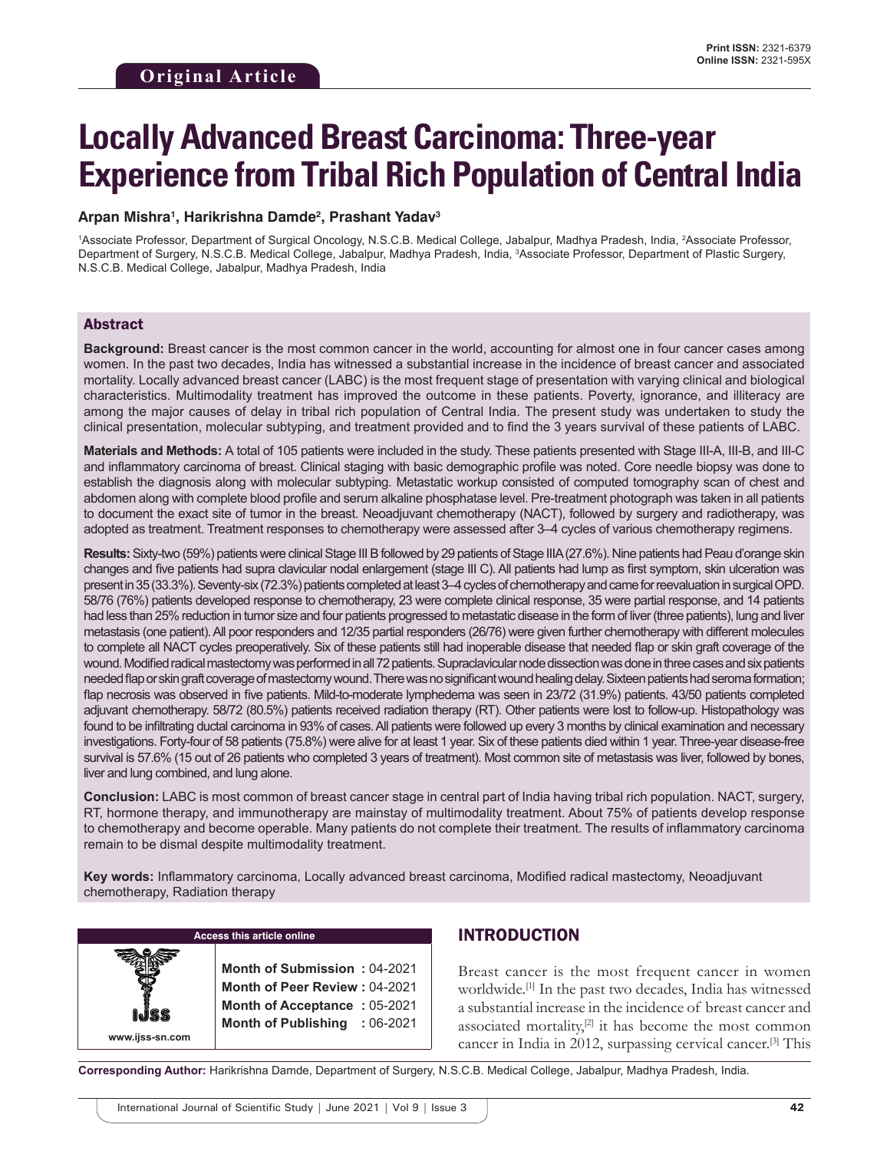# **Locally Advanced Breast Carcinoma: Three-year Experience from Tribal Rich Population of Central India**

## **Arpan Mishra1 , Harikrishna Damde2 , Prashant Yadav3**

1Associate Professor, Department of Surgical Oncology, N.S.C.B. Medical College, Jabalpur, Madhya Pradesh, India, 2Associate Professor, Department of Surgery, N.S.C.B. Medical College, Jabalpur, Madhya Pradesh, India, 3 Associate Professor, Department of Plastic Surgery, N.S.C.B. Medical College, Jabalpur, Madhya Pradesh, India

## Abstract

**Background:** Breast cancer is the most common cancer in the world, accounting for almost one in four cancer cases among women. In the past two decades, India has witnessed a substantial increase in the incidence of breast cancer and associated mortality. Locally advanced breast cancer (LABC) is the most frequent stage of presentation with varying clinical and biological characteristics. Multimodality treatment has improved the outcome in these patients. Poverty, ignorance, and illiteracy are among the major causes of delay in tribal rich population of Central India. The present study was undertaken to study the clinical presentation, molecular subtyping, and treatment provided and to find the 3 years survival of these patients of LABC.

**Materials and Methods:** A total of 105 patients were included in the study. These patients presented with Stage III-A, III-B, and III-C and inflammatory carcinoma of breast. Clinical staging with basic demographic profile was noted. Core needle biopsy was done to establish the diagnosis along with molecular subtyping. Metastatic workup consisted of computed tomography scan of chest and abdomen along with complete blood profile and serum alkaline phosphatase level. Pre-treatment photograph was taken in all patients to document the exact site of tumor in the breast. Neoadjuvant chemotherapy (NACT), followed by surgery and radiotherapy, was adopted as treatment. Treatment responses to chemotherapy were assessed after 3–4 cycles of various chemotherapy regimens.

**Results:** Sixty-two (59%) patients were clinical Stage III B followed by 29 patients of Stage IIIA (27.6%). Nine patients had Peau d'orange skin changes and five patients had supra clavicular nodal enlargement (stage III C). All patients had lump as first symptom, skin ulceration was present in 35 (33.3%). Seventy-six (72.3%) patients completed at least 3–4 cycles of chemotherapy and came for reevaluation in surgical OPD. 58/76 (76%) patients developed response to chemotherapy, 23 were complete clinical response, 35 were partial response, and 14 patients had less than 25% reduction in tumor size and four patients progressed to metastatic disease in the form of liver (three patients), lung and liver metastasis (one patient). All poor responders and 12/35 partial responders (26/76) were given further chemotherapy with different molecules to complete all NACT cycles preoperatively. Six of these patients still had inoperable disease that needed flap or skin graft coverage of the wound. Modified radical mastectomy was performed in all 72 patients. Supraclavicular node dissection was done in three cases and six patients needed flap or skin graft coverage of mastectomy wound. There was no significant wound healing delay. Sixteen patients had seroma formation; flap necrosis was observed in five patients. Mild-to-moderate lymphedema was seen in 23/72 (31.9%) patients. 43/50 patients completed adjuvant chemotherapy. 58/72 (80.5%) patients received radiation therapy (RT). Other patients were lost to follow-up. Histopathology was found to be infiltrating ductal carcinoma in 93% of cases. All patients were followed up every 3 months by clinical examination and necessary investigations. Forty-four of 58 patients (75.8%) were alive for at least 1 year. Six of these patients died within 1 year. Three-year disease-free survival is 57.6% (15 out of 26 patients who completed 3 years of treatment). Most common site of metastasis was liver, followed by bones, liver and lung combined, and lung alone.

**Conclusion:** LABC is most common of breast cancer stage in central part of India having tribal rich population. NACT, surgery, RT, hormone therapy, and immunotherapy are mainstay of multimodality treatment. About 75% of patients develop response to chemotherapy and become operable. Many patients do not complete their treatment. The results of inflammatory carcinoma remain to be dismal despite multimodality treatment.

**Key words:** Inflammatory carcinoma, Locally advanced breast carcinoma, Modified radical mastectomy, Neoadjuvant chemotherapy, Radiation therapy



#### **Access this article online**

**Month of Submission :** 04-2021 **Month of Peer Review :** 04-2021 **Month of Acceptance :** 05-2021 **Month of Publishing :** 06-2021

## INTRODUCTION

Breast cancer is the most frequent cancer in women worldwide.[1] In the past two decades, India has witnessed a substantial increase in the incidence of breast cancer and associated mortality, $[2]$  it has become the most common cancer in India in 2012, surpassing cervical cancer.[3] This

**Corresponding Author:** Harikrishna Damde, Department of Surgery, N.S.C.B. Medical College, Jabalpur, Madhya Pradesh, India.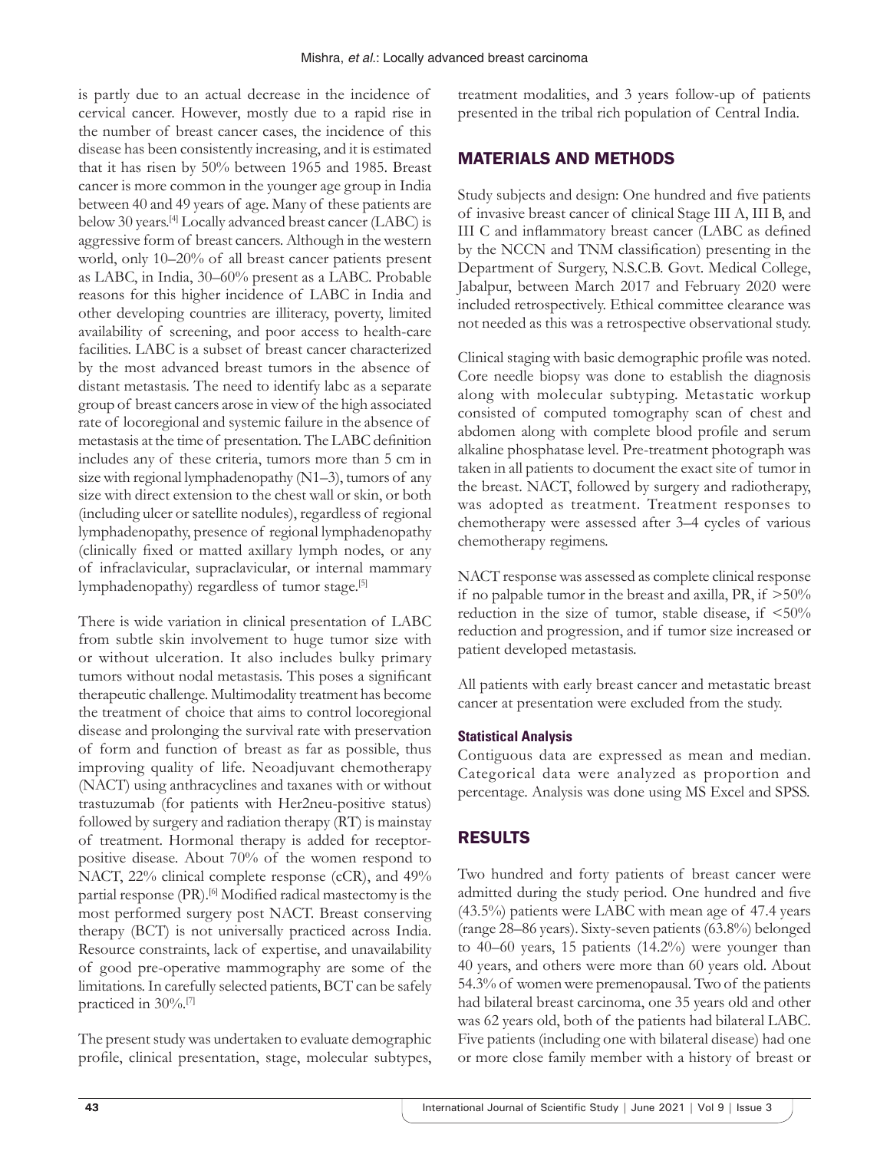is partly due to an actual decrease in the incidence of cervical cancer. However, mostly due to a rapid rise in the number of breast cancer cases, the incidence of this disease has been consistently increasing, and it is estimated that it has risen by 50% between 1965 and 1985. Breast cancer is more common in the younger age group in India between 40 and 49 years of age. Many of these patients are below 30 years.[4] Locally advanced breast cancer (LABC) is aggressive form of breast cancers. Although in the western world, only 10–20% of all breast cancer patients present as LABC, in India, 30–60% present as a LABC. Probable reasons for this higher incidence of LABC in India and other developing countries are illiteracy, poverty, limited availability of screening, and poor access to health-care facilities. LABC is a subset of breast cancer characterized by the most advanced breast tumors in the absence of distant metastasis. The need to identify labc as a separate group of breast cancers arose in view of the high associated rate of locoregional and systemic failure in the absence of metastasis at the time of presentation. The LABC definition includes any of these criteria, tumors more than 5 cm in size with regional lymphadenopathy (N1–3), tumors of any size with direct extension to the chest wall or skin, or both (including ulcer or satellite nodules), regardless of regional lymphadenopathy, presence of regional lymphadenopathy (clinically fixed or matted axillary lymph nodes, or any of infraclavicular, supraclavicular, or internal mammary lymphadenopathy) regardless of tumor stage.<sup>[5]</sup>

There is wide variation in clinical presentation of LABC from subtle skin involvement to huge tumor size with or without ulceration. It also includes bulky primary tumors without nodal metastasis. This poses a significant therapeutic challenge. Multimodality treatment has become the treatment of choice that aims to control locoregional disease and prolonging the survival rate with preservation of form and function of breast as far as possible, thus improving quality of life. Neoadjuvant chemotherapy (NACT) using anthracyclines and taxanes with or without trastuzumab (for patients with Her2neu-positive status) followed by surgery and radiation therapy (RT) is mainstay of treatment. Hormonal therapy is added for receptorpositive disease. About 70% of the women respond to NACT, 22% clinical complete response (cCR), and 49% partial response (PR).<sup>[6]</sup> Modified radical mastectomy is the most performed surgery post NACT. Breast conserving therapy (BCT) is not universally practiced across India. Resource constraints, lack of expertise, and unavailability of good pre-operative mammography are some of the limitations. In carefully selected patients, BCT can be safely practiced in 30%.[7]

The present study was undertaken to evaluate demographic profile, clinical presentation, stage, molecular subtypes, treatment modalities, and 3 years follow-up of patients presented in the tribal rich population of Central India.

## MATERIALS AND METHODS

Study subjects and design: One hundred and five patients of invasive breast cancer of clinical Stage III A, III B, and III C and inflammatory breast cancer (LABC as defined by the NCCN and TNM classification) presenting in the Department of Surgery, N.S.C.B. Govt. Medical College, Jabalpur, between March 2017 and February 2020 were included retrospectively. Ethical committee clearance was not needed as this was a retrospective observational study.

Clinical staging with basic demographic profile was noted. Core needle biopsy was done to establish the diagnosis along with molecular subtyping. Metastatic workup consisted of computed tomography scan of chest and abdomen along with complete blood profile and serum alkaline phosphatase level. Pre-treatment photograph was taken in all patients to document the exact site of tumor in the breast. NACT, followed by surgery and radiotherapy, was adopted as treatment. Treatment responses to chemotherapy were assessed after 3–4 cycles of various chemotherapy regimens.

NACT response was assessed as complete clinical response if no palpable tumor in the breast and axilla, PR, if  $>50\%$ reduction in the size of tumor, stable disease, if  $\leq 50\%$ reduction and progression, and if tumor size increased or patient developed metastasis.

All patients with early breast cancer and metastatic breast cancer at presentation were excluded from the study.

## **Statistical Analysis**

Contiguous data are expressed as mean and median. Categorical data were analyzed as proportion and percentage. Analysis was done using MS Excel and SPSS.

# RESULTS

Two hundred and forty patients of breast cancer were admitted during the study period. One hundred and five (43.5%) patients were LABC with mean age of 47.4 years (range 28–86 years). Sixty-seven patients (63.8%) belonged to 40–60 years, 15 patients (14.2%) were younger than 40 years, and others were more than 60 years old. About 54.3% of women were premenopausal. Two of the patients had bilateral breast carcinoma, one 35 years old and other was 62 years old, both of the patients had bilateral LABC. Five patients (including one with bilateral disease) had one or more close family member with a history of breast or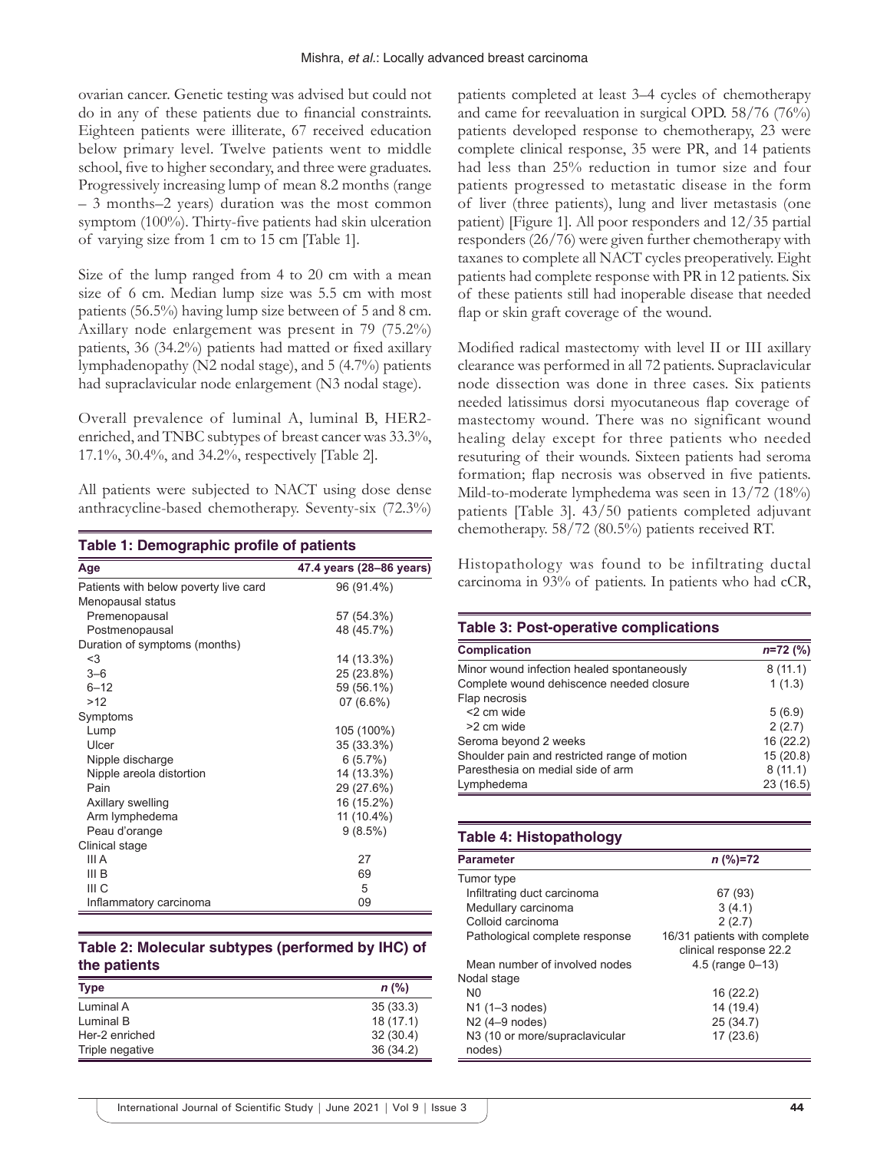ovarian cancer. Genetic testing was advised but could not do in any of these patients due to financial constraints. Eighteen patients were illiterate, 67 received education below primary level. Twelve patients went to middle school, five to higher secondary, and three were graduates. Progressively increasing lump of mean 8.2 months (range – 3 months–2 years) duration was the most common symptom (100%). Thirty-five patients had skin ulceration of varying size from 1 cm to 15 cm [Table 1].

Size of the lump ranged from 4 to 20 cm with a mean size of 6 cm. Median lump size was 5.5 cm with most patients (56.5%) having lump size between of 5 and 8 cm. Axillary node enlargement was present in 79 (75.2%) patients, 36 (34.2%) patients had matted or fixed axillary lymphadenopathy (N2 nodal stage), and 5 (4.7%) patients had supraclavicular node enlargement (N3 nodal stage).

Overall prevalence of luminal A, luminal B, HER2 enriched, and TNBC subtypes of breast cancer was 33.3%, 17.1%, 30.4%, and 34.2%, respectively [Table 2].

All patients were subjected to NACT using dose dense anthracycline-based chemotherapy. Seventy-six (72.3%)

| Table 1: Demographic profile of patients |                          |  |
|------------------------------------------|--------------------------|--|
| Age                                      | 47.4 years (28–86 years) |  |
| Patients with below poverty live card    | 96 (91.4%)               |  |
| Menopausal status                        |                          |  |
| Premenopausal                            | 57 (54.3%)               |  |
| Postmenopausal                           | 48 (45.7%)               |  |
| Duration of symptoms (months)            |                          |  |
| $3$                                      | 14 (13.3%)               |  |
| $3 - 6$                                  | 25 (23.8%)               |  |
| $6 - 12$                                 | 59 (56.1%)               |  |
| >12                                      | 07 (6.6%)                |  |
| Symptoms                                 |                          |  |
| Lump                                     | 105 (100%)               |  |
| Ulcer                                    | 35 (33.3%)               |  |
| Nipple discharge                         | 6(5.7%)                  |  |
| Nipple areola distortion                 | 14 (13.3%)               |  |
| Pain                                     | 29 (27.6%)               |  |
| Axillary swelling                        | 16 (15.2%)               |  |
| Arm lymphedema                           | 11 (10.4%)               |  |
| Peau d'orange                            | 9(8.5%)                  |  |
| Clinical stage                           |                          |  |
| III A                                    | 27                       |  |
| III B                                    | 69                       |  |
| III C                                    | 5                        |  |
| Inflammatory carcinoma                   | 09                       |  |

## **Table 2: Molecular subtypes (performed by IHC) of the patients**

| <b>Type</b>     | $n$ (%)  |
|-----------------|----------|
| Luminal A       | 35(33.3) |
| Luminal B       | 18(17.1) |
| Her-2 enriched  | 32(30.4) |
| Triple negative | 36(34.2) |

patients completed at least 3–4 cycles of chemotherapy and came for reevaluation in surgical OPD. 58/76 (76%) patients developed response to chemotherapy, 23 were complete clinical response, 35 were PR, and 14 patients had less than 25% reduction in tumor size and four patients progressed to metastatic disease in the form of liver (three patients), lung and liver metastasis (one patient) [Figure 1]. All poor responders and 12/35 partial responders (26/76) were given further chemotherapy with taxanes to complete all NACT cycles preoperatively. Eight patients had complete response with PR in 12 patients. Six of these patients still had inoperable disease that needed flap or skin graft coverage of the wound.

Modified radical mastectomy with level II or III axillary clearance was performed in all 72 patients. Supraclavicular node dissection was done in three cases. Six patients needed latissimus dorsi myocutaneous flap coverage of mastectomy wound. There was no significant wound healing delay except for three patients who needed resuturing of their wounds. Sixteen patients had seroma formation; flap necrosis was observed in five patients. Mild-to-moderate lymphedema was seen in 13/72 (18%) patients [Table 3]. 43/50 patients completed adjuvant chemotherapy. 58/72 (80.5%) patients received RT.

Histopathology was found to be infiltrating ductal carcinoma in 93% of patients. In patients who had cCR,

## **Table 3: Post-operative complications**

| <b>Complication</b>                          | $n=72$ (%) |
|----------------------------------------------|------------|
| Minor wound infection healed spontaneously   | 8(11.1)    |
| Complete wound dehiscence needed closure     | 1(1.3)     |
| Flap necrosis                                |            |
| <2 cm wide                                   | 5(6.9)     |
| >2 cm wide                                   | 2(2.7)     |
| Seroma beyond 2 weeks                        | 16 (22.2)  |
| Shoulder pain and restricted range of motion | 15(20.8)   |
| Paresthesia on medial side of arm            | 8(11.1)    |
| Lymphedema                                   | 23 (16.5)  |

## **Table 4: Histopathology**

| <b>Parameter</b>                         | $n$ (%)=72                   |
|------------------------------------------|------------------------------|
| Tumor type                               |                              |
| Infiltrating duct carcinoma              | 67 (93)                      |
| Medullary carcinoma                      | 3(4.1)                       |
| Colloid carcinoma                        | 2(2.7)                       |
| Pathological complete response           | 16/31 patients with complete |
|                                          | clinical response 22.2       |
| Mean number of involved nodes            | 4.5 (range $0 - 13$ )        |
| Nodal stage                              |                              |
| N <sub>0</sub>                           | 16(22.2)                     |
| $N1$ (1-3 nodes)                         | 14 (19.4)                    |
| N2 (4-9 nodes)                           | 25(34.7)                     |
| N3 (10 or more/supraclavicular<br>nodes) | 17(23.6)                     |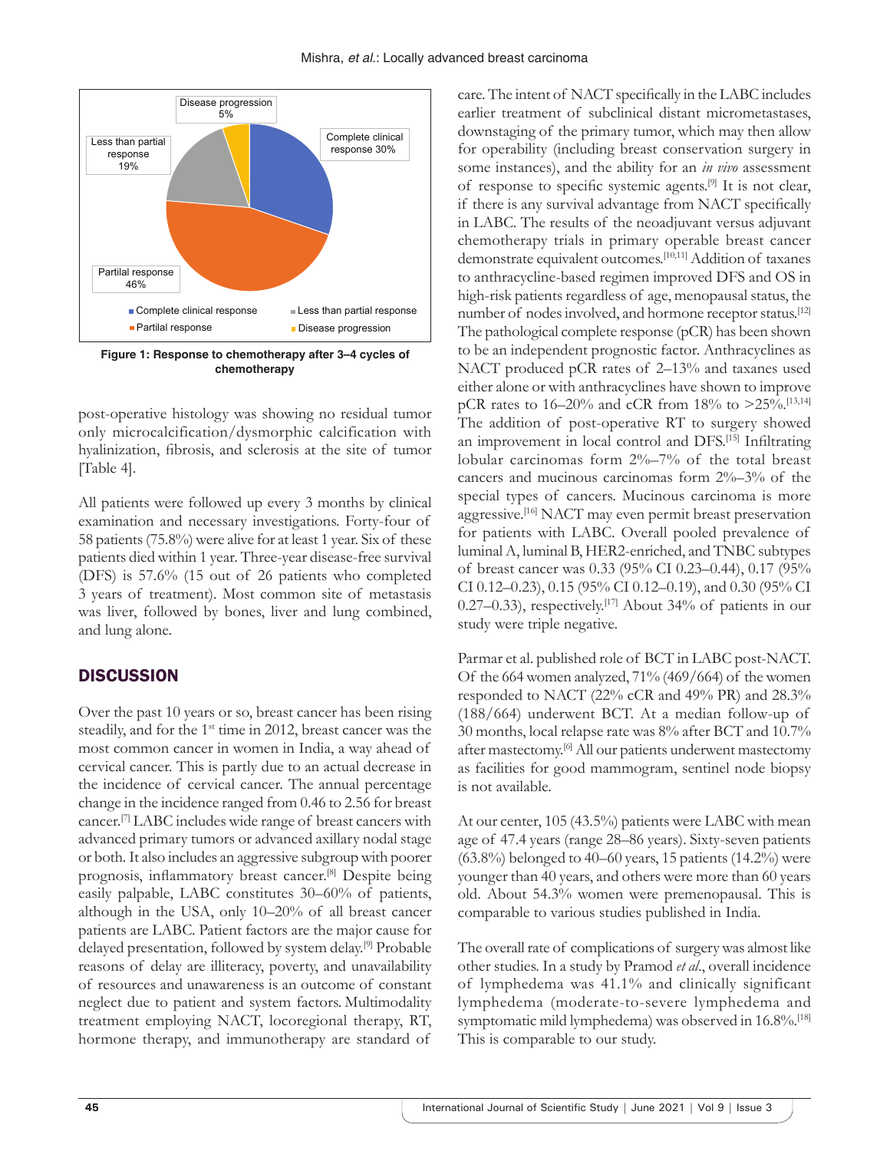

**Figure 1: Response to chemotherapy after 3–4 cycles of chemotherapy**

post-operative histology was showing no residual tumor only microcalcification/dysmorphic calcification with hyalinization, fibrosis, and sclerosis at the site of tumor [Table 4].

All patients were followed up every 3 months by clinical examination and necessary investigations. Forty-four of 58 patients (75.8%) were alive for at least 1 year. Six of these patients died within 1 year. Three-year disease-free survival (DFS) is 57.6% (15 out of 26 patients who completed 3 years of treatment). Most common site of metastasis was liver, followed by bones, liver and lung combined, and lung alone.

# **DISCUSSION**

Over the past 10 years or so, breast cancer has been rising steadily, and for the 1<sup>st</sup> time in 2012, breast cancer was the most common cancer in women in India, a way ahead of cervical cancer. This is partly due to an actual decrease in the incidence of cervical cancer. The annual percentage change in the incidence ranged from 0.46 to 2.56 for breast cancer.[7] LABC includes wide range of breast cancers with advanced primary tumors or advanced axillary nodal stage or both. It also includes an aggressive subgroup with poorer prognosis, inflammatory breast cancer.[8] Despite being easily palpable, LABC constitutes 30–60% of patients, although in the USA, only 10–20% of all breast cancer patients are LABC. Patient factors are the major cause for delayed presentation, followed by system delay.[9] Probable reasons of delay are illiteracy, poverty, and unavailability of resources and unawareness is an outcome of constant neglect due to patient and system factors. Multimodality treatment employing NACT, locoregional therapy, RT, hormone therapy, and immunotherapy are standard of

care. The intent of NACT specifically in the LABC includes earlier treatment of subclinical distant micrometastases, downstaging of the primary tumor, which may then allow for operability (including breast conservation surgery in some instances), and the ability for an *in vivo* assessment of response to specific systemic agents.[9] It is not clear, if there is any survival advantage from NACT specifically in LABC. The results of the neoadjuvant versus adjuvant chemotherapy trials in primary operable breast cancer demonstrate equivalent outcomes.[10,11] Addition of taxanes to anthracycline-based regimen improved DFS and OS in high-risk patients regardless of age, menopausal status, the number of nodes involved, and hormone receptor status.<sup>[12]</sup> The pathological complete response (pCR) has been shown to be an independent prognostic factor. Anthracyclines as NACT produced pCR rates of 2–13% and taxanes used either alone or with anthracyclines have shown to improve pCR rates to 16–20% and cCR from 18% to  $>25\%$ .<sup>[13,14]</sup> The addition of post-operative RT to surgery showed an improvement in local control and DFS.[15] Infiltrating lobular carcinomas form 2%–7% of the total breast cancers and mucinous carcinomas form 2%–3% of the special types of cancers. Mucinous carcinoma is more aggressive.[16] NACT may even permit breast preservation for patients with LABC. Overall pooled prevalence of luminal A, luminal B, HER2-enriched, and TNBC subtypes of breast cancer was 0.33 (95% CI 0.23–0.44), 0.17 (95% CI 0.12–0.23), 0.15 (95% CI 0.12–0.19), and 0.30 (95% CI 0.27–0.33), respectively.<sup>[17]</sup> About 34% of patients in our study were triple negative.

Parmar et al. published role of BCT in LABC post-NACT. Of the 664 women analyzed, 71% (469/664) of the women responded to NACT (22% cCR and 49% PR) and 28.3% (188/664) underwent BCT. At a median follow-up of 30 months, local relapse rate was 8% after BCT and 10.7% after mastectomy.[6] All our patients underwent mastectomy as facilities for good mammogram, sentinel node biopsy is not available.

At our center, 105 (43.5%) patients were LABC with mean age of 47.4 years (range 28–86 years). Sixty-seven patients  $(63.8\%)$  belonged to 40–60 years, 15 patients  $(14.2\%)$  were younger than 40 years, and others were more than 60 years old. About 54.3% women were premenopausal. This is comparable to various studies published in India.

The overall rate of complications of surgery was almost like other studies. In a study by Pramod *et al*., overall incidence of lymphedema was 41.1% and clinically significant lymphedema (moderate-to-severe lymphedema and symptomatic mild lymphedema) was observed in 16.8%.<sup>[18]</sup> This is comparable to our study.